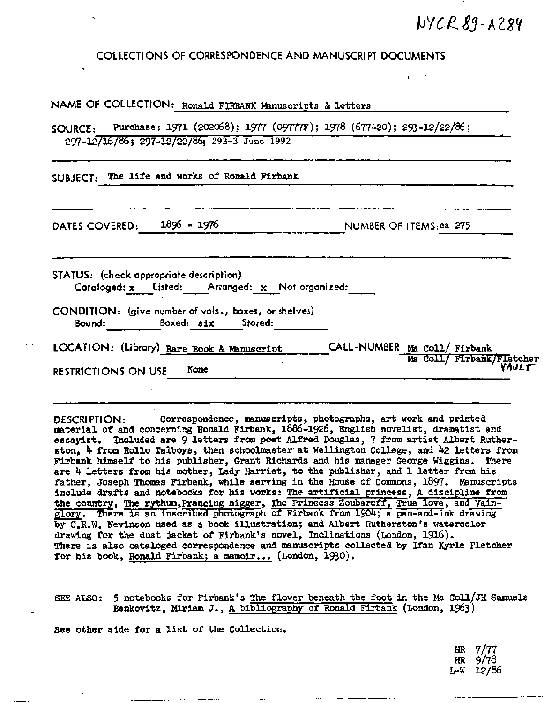## WYCR 89-A284

**COLLECTIONS OF CORRESPONDENCE AND MANUSCRIPT DOCUMENTS**

| NAME OF COLLECTION: Ronald FIRBANK Manuscripts & letters                                                                              |                                                                    |
|---------------------------------------------------------------------------------------------------------------------------------------|--------------------------------------------------------------------|
| Purchase: 1971 (202068); 1977 (09777F); 1978 (677420); 293-12/22/86;<br><b>SOURCE:</b><br>297-12/16/86; 297-12/22/86; 293-3 June 1992 |                                                                    |
| SUBJECT: The life and works of Ronald Firbank                                                                                         |                                                                    |
| 1896 - 1976<br>DATES COVERED:                                                                                                         | NUMBER OF ITEMS:ca 275                                             |
| STATUS: (check appropriate description)<br>Cataloged: $x$ Listed: Arranged: $x$ Not organized:                                        |                                                                    |
| CONDITION: (give number of vols., boxes, or shelves)<br>Bound: Boxed: six Stored:                                                     |                                                                    |
| LOCATION: (Library) Rare Book & Manuscript<br>None<br><b>RESTRICTIONS ON USE</b>                                                      | CALL-NUMBER Ms Coll/ Firbank<br>Ms Coll/ Firbank/Fletcher<br>VAJLT |
|                                                                                                                                       |                                                                    |

DESCRIPTION: Correspondence, manuscripts, photographs, art work and printed material of and concerning Ronald Firbank, 1886-1926, English novelist, dramatist and essayist. Included are 9 letters from poet Alfred Douglas, 7 from artist Albert Rutherston, h from Rollo Talboys, then schoolmaster at Wellington College, and k2 letters from Firbank himself to his publisher, Grant Richards and his manager George Wiggins. There are 4 letters from his mother, Lady Harriet, to the publisher, and 1 letter from his father, Joseph Thomas Firbank, while serving in the House of Commons, I897. Manuscripts include drafts and notebooks for his works: The artificial princess, A discipline from the country, The rythum, Prancing nigger, The Prineess Zoubaroff, True love, and Vainglory. There is an inscribed photograph of Firbank from 1904; a pen-and-ink drawing by C.R.W. Nevinson used as a book illustration; and Albert Rutherston's watercolor drawing for the dust jacket of Firbank's novel, Inclinations (London, 1916). There is also cataloged correspondence and manuscripts collected by Ifan Kyrle Fletcher for his book, Ronald Firbank; a memoir... (London, 1930).

SEE ALSO: 5 notebooks for Firbank's The flower beneath the foot in the Ms Coll/JH Samuels Benkovitz, Miriam J., A bibliography of Ronald Firbank (London, 1963)

See other side for a list of the Collection.

HR 7/77 HR 9/78 L-W 12/86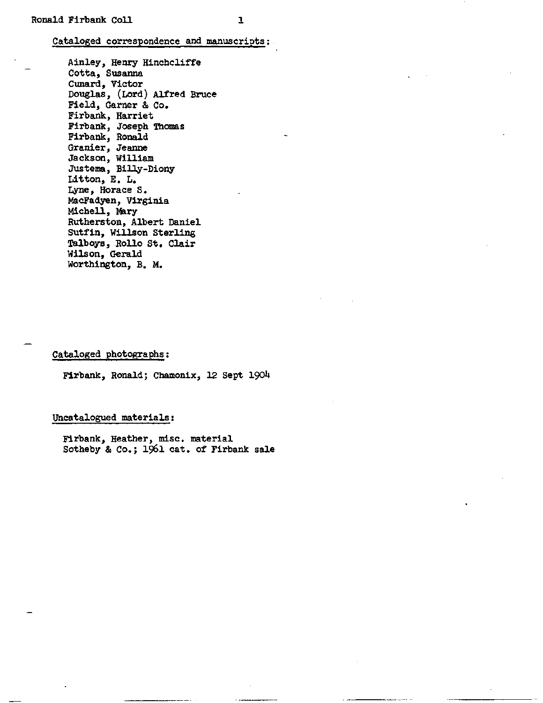## Cataloged correspondence and manuscripts

Ainley, Henry Hinchcliffe Cotta, Susanna Cunard, Victor Douglas, (Lord) Alfred Bruce Field, Garner & Co. Firbank, Harriet Firbank, Joseph Thomas Firbank, Ronald Granier, Jeanne Jackson, William Justema, Billy-Diony Litton, E. L. Lyne, Horace S. MacFadyen, Virginia Michell, Mary Rutherston, Albert Daniel Sutfin, Willson Sterling Talboys, Rollo St. Clair Wilson, Gerald Worthington, B. M.

## Cataloged photographs:

Firbank, Ronald; Chamonix, 12 Sept 1904

## Uncatalogued materials;

Firbank, Heather, misc. material Sotheby & Co.; 196l cat. of Firbank sale